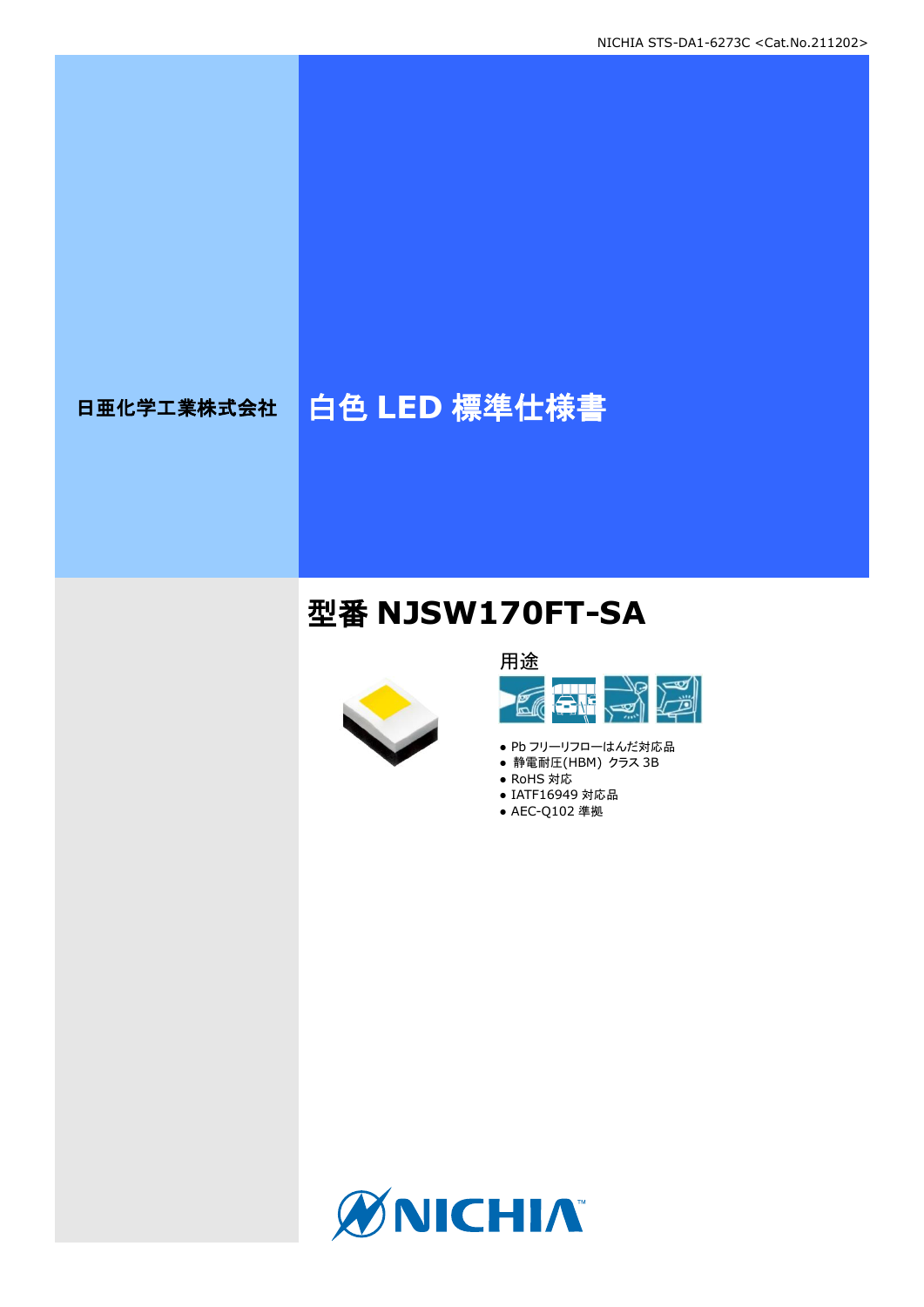# 日亜化学工業株式会社 | 白色 LED 標準仕様書

# 型番 **NJSW170FT-SA**





- Pb フリーリフローはんだ対応品
- 静電耐圧(HBM) クラス 3B
- RoHS 対応
- IATF16949 対応品 ● AEC-Q102 準拠

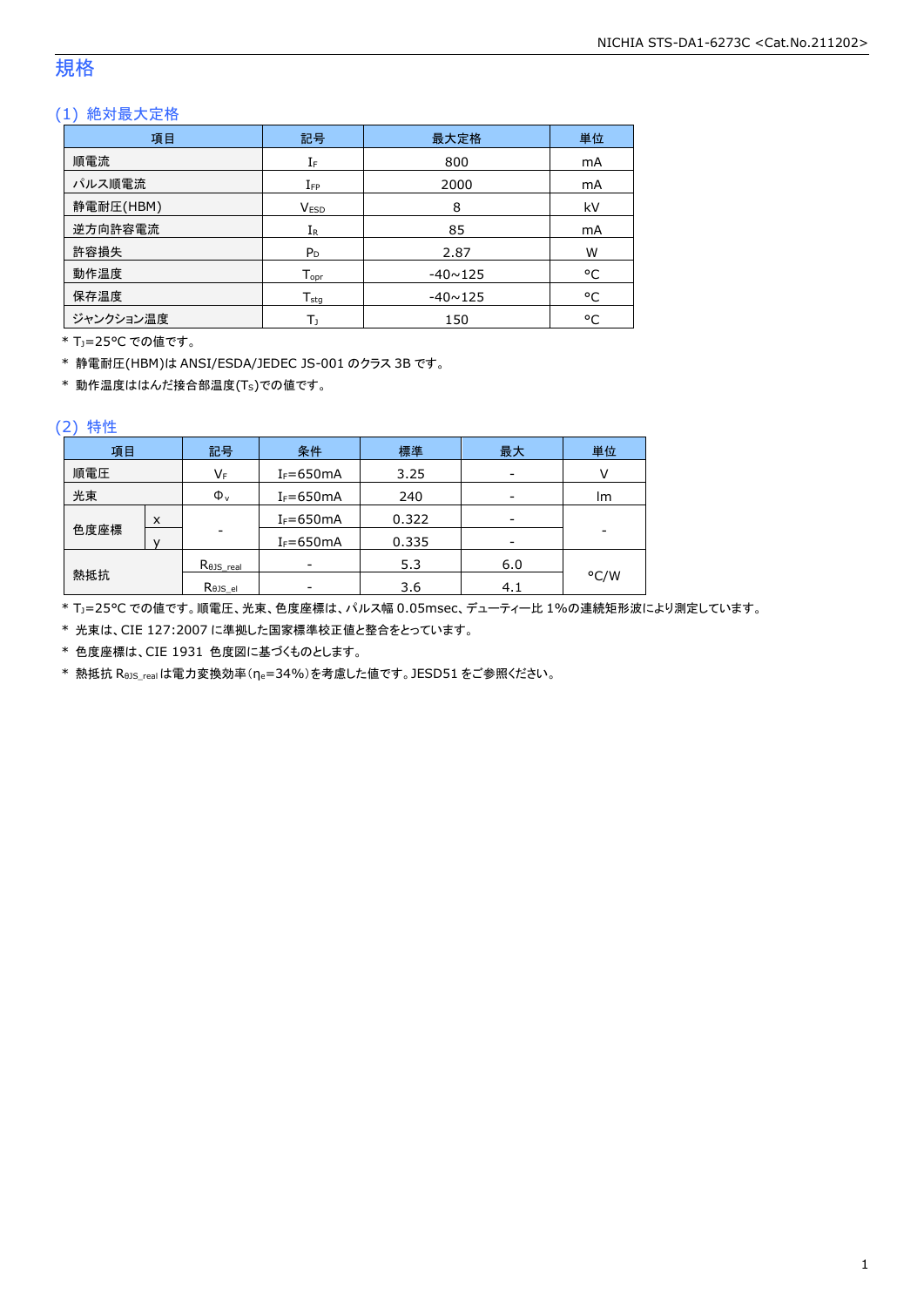# 規格

# (1) 絶対最大定格

| 項目        | 記号                 | 最大定格           | 単位 |
|-----------|--------------------|----------------|----|
| 順電流       | IF                 | 800            | mA |
| パルス順電流    | $I_{FP}$           | 2000           | mA |
| 静電耐圧(HBM) | <b>VESD</b>        | 8              | kV |
| 逆方向許容電流   | $I_{R}$            | 85             | mA |
| 許容損失      | $P_D$              | 2.87           | W  |
| 動作温度      | $T_{\mathsf{opr}}$ | $-40 \sim 125$ | °C |
| 保存温度      | $T_{sta}$          | $-40 \sim 125$ | °C |
| ジャンクション温度 | Tı                 | 150            | °C |

\* TJ=25°C での値です。

\* 静電耐圧(HBM)は ANSI/ESDA/JEDEC JS-001 のクラス 3B です。

\* 動作温度ははんだ接合部温度(TS)での値です。

#### (2) 特性

| 項目   |   | 記号                   | 条件            | 標準    | 最大  | 単位   |
|------|---|----------------------|---------------|-------|-----|------|
| 順電圧  |   | VF                   | $I_F = 650mA$ | 3.25  |     |      |
| 光束   |   | $\Phi_{\rm v}$       | $I_F = 650mA$ | 240   |     | lm   |
|      | X |                      | $I_F = 650mA$ | 0.322 |     |      |
| 色度座標 |   | ۰                    | $I_F = 650mA$ | 0.335 |     | -    |
|      |   | $R_{\theta}$ JS real |               | 5.3   | 6.0 |      |
| 熱抵抗  |   | Rejs el              |               | 3.6   | 4.1 | °C/W |

\* TJ=25°C での値です。順電圧、光束、色度座標は、パルス幅 0.05msec、デューティー比 1%の連続矩形波により測定しています。

\* 光束は、CIE 127:2007 に準拠した国家標準校正値と整合をとっています。

\* 色度座標は、CIE 1931 色度図に基づくものとします。

\* 熱抵抗 RθJS\_realは電力変換効率(ηe=34%)を考慮した値です。JESD51 をご参照ください。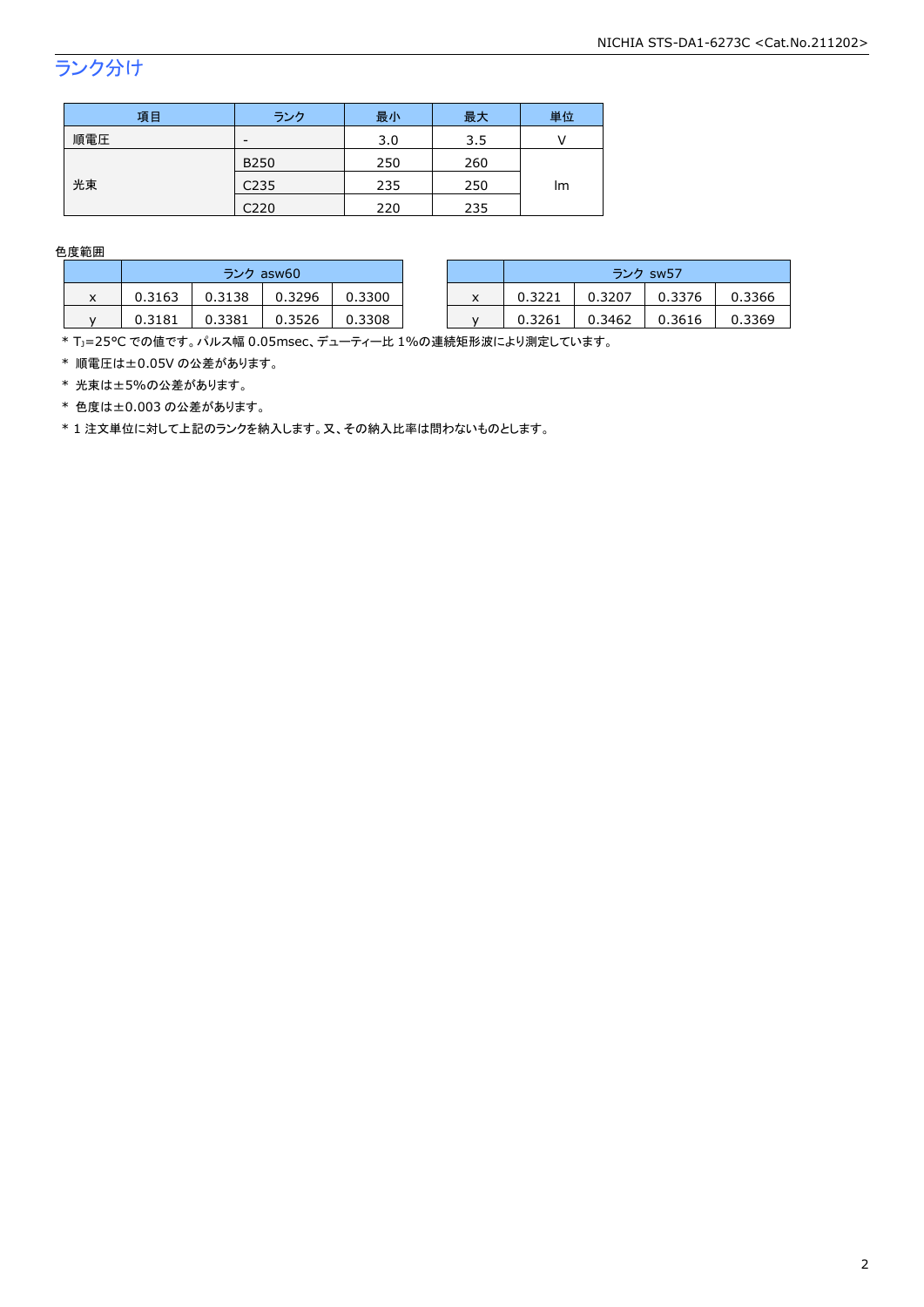# ランク分け

| 項目  | ランク              | 最小  | 最大  | 単位 |  |
|-----|------------------|-----|-----|----|--|
| 順電圧 | -                | 3.0 | 3.5 |    |  |
|     | <b>B250</b>      | 250 | 260 | lm |  |
| 光束  | C <sub>235</sub> | 235 | 250 |    |  |
|     | C220             | 220 | 235 |    |  |

色度範囲

|   | ランク asw60 |        |        |        |   |        |        |        | ランク sw57 |  |
|---|-----------|--------|--------|--------|---|--------|--------|--------|----------|--|
| ᄉ | 0.3163    | 0.3138 | 0.3296 | 0.3300 | x | 0.3221 | 0.3207 | 0.3376 | 0.3366   |  |
|   | 0.3181    | 0.3381 | 3526   | 0.3308 |   | 0.3261 | 0.3462 | 0.3616 | 0.3369   |  |

\* Tj=25°C での値です。パルス幅 0.05msec、デューティー比 1%の連続矩形波により測定しています。

\* 順電圧は±0.05V の公差があります。

\* 光束は±5%の公差があります。

\* 色度は±0.003 の公差があります。

\* 1 注文単位に対して上記のランクを納入します。又、その納入比率は問わないものとします。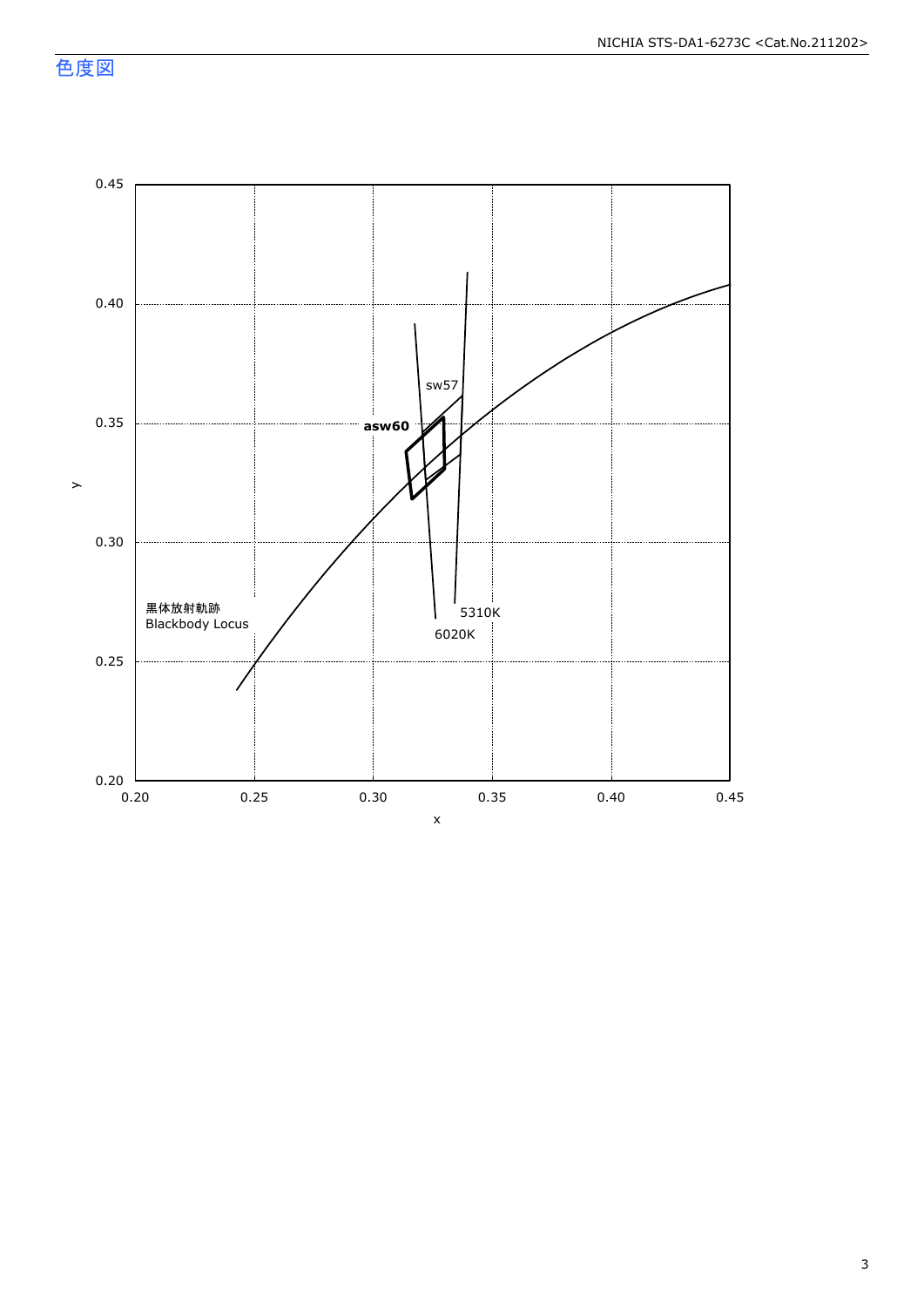色度図

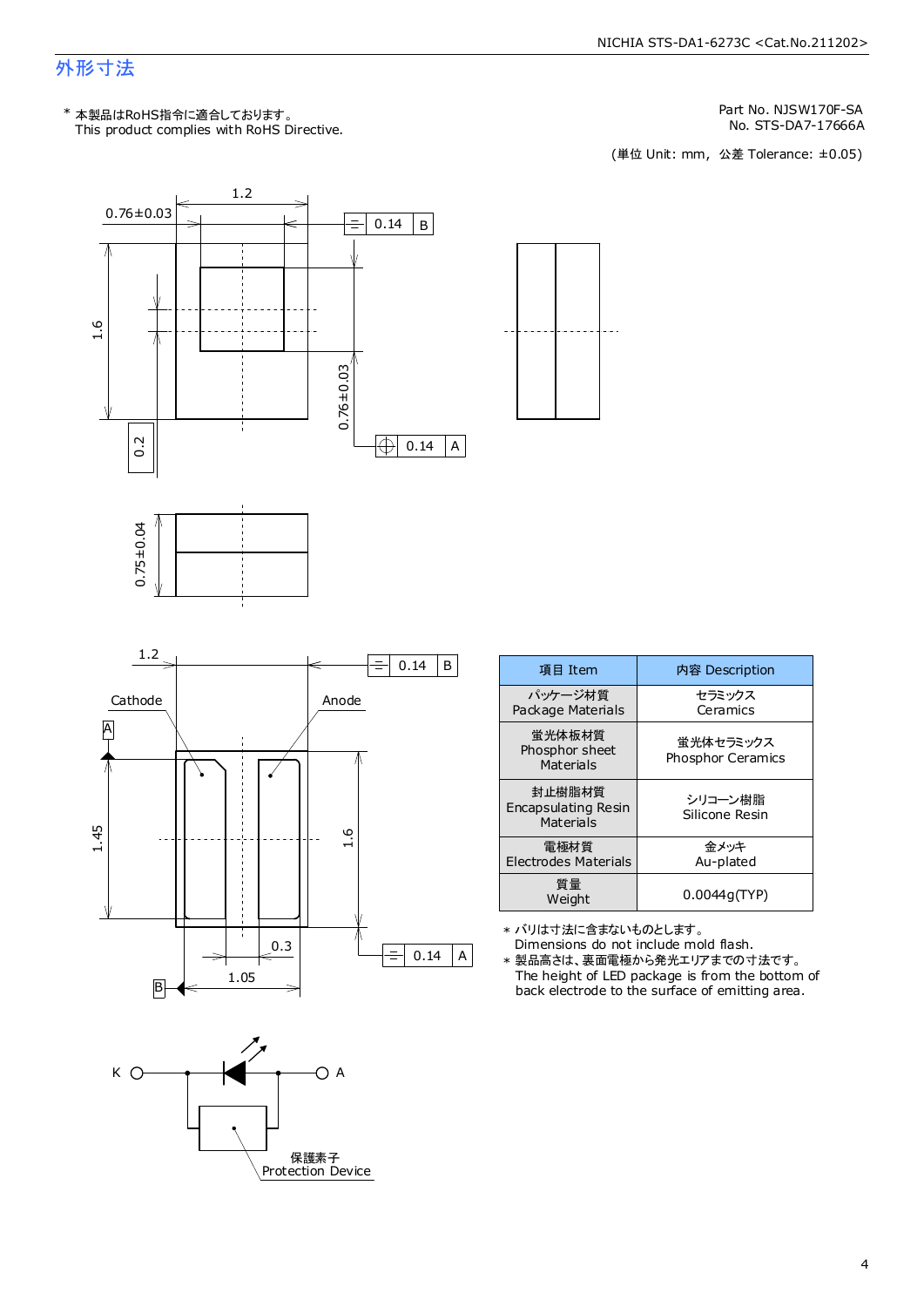# 外形寸法

Part No. NJSW170F-SA

No. STS-DA7-17666A<br>(単位 Unit: mm, 公差 Tolerance: ±0.05)









| 項目 Item                                      | 内容 Description                        |
|----------------------------------------------|---------------------------------------|
| パッケージ材質<br>Package Materials                 | セラミックス<br>Ceramics                    |
| <b>蛍光体板材質</b><br>Phosphor sheet<br>Materials | 蛍光体セラミックス<br><b>Phosphor Ceramics</b> |
| 封止樹脂材質<br>Encapsulating Resin<br>Materials   | シリコーン樹脂<br>Silicone Resin             |
| 電極材質<br>Electrodes Materials                 | 金メッキ<br>Au-plated                     |
| 質量<br>Weight                                 | 0.0044g(TYP)                          |

\* バリは寸法に含まないものとします。

Dimensions do not include mold flash.

The height of LED package is from the bottom of back electrode to the surface of emitting area. \* 製品高さは、裏面電極から発光エリアまでの寸法です。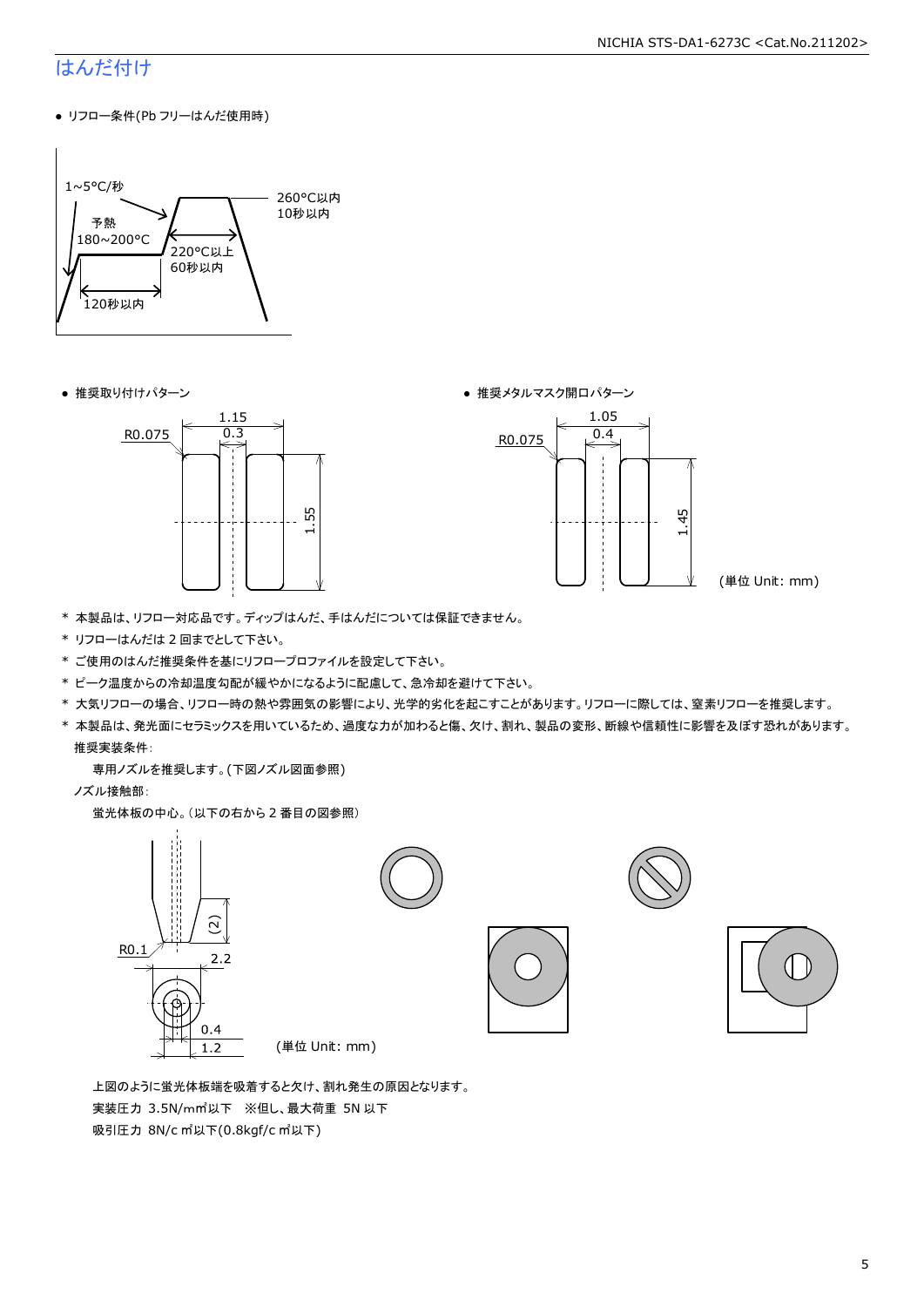#### NICHIA STS-DA1-6273C <Cat.No.211202>

# はんだ付け

● リフロー条件(Pb フリーはんだ使用時)



● 推奨取り付けパターン ろんじょう しょうしゃ ゆうしゃ ウィック あんきょう きょうかん きゅうしょく 推奨メタルマスク開口パターン





(単位 Unit: mm)

- \* 本製品は、リフロー対応品です。ディップはんだ、手はんだについては保証できません。
- \* リフローはんだは 2 回までとして下さい。
- \* ご使用のはんだ推奨条件を基にリフロープロファイルを設定して下さい。
- \* ピーク温度からの冷却温度勾配が緩やかになるように配慮して、急冷却を避けて下さい。
- \* 大気リフローの場合、リフロー時の熱や雰囲気の影響により、光学的劣化を起こすことがあります。リフローに際しては、窒素リフローを推奨します。
- \* 本製品は、発光面にセラミックスを用いているため、過度な力が加わると傷、欠け、割れ、製品の変形、断線や信頼性に影響を及ぼす恐れがあります。 推奨実装条件:

専用ノズルを推奨します。(下図ノズル図面参照)

ノズル接触部:

蛍光体板の中心。(以下の右から 2 番目の図参照)



 上図のように蛍光体板端を吸着すると欠け、割れ発生の原因となります。 実装圧力 3.5N/m㎡以下 ※但し、最大荷重 5N 以下 吸引圧力 8N/c ㎡以下(0.8kgf/c ㎡以下)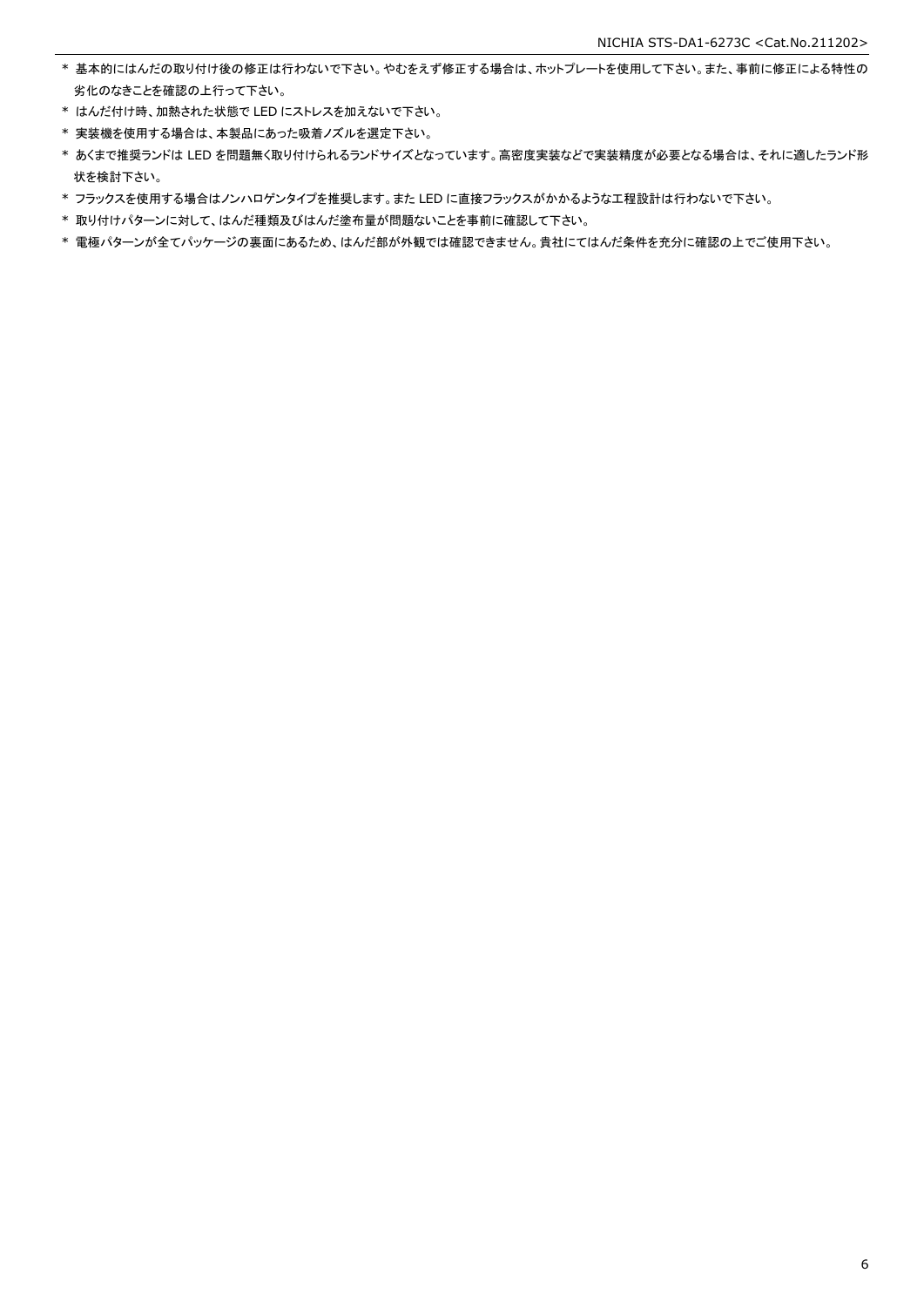- \* 基本的にはんだの取り付け後の修正は行わないで下さい。やむをえず修正する場合は、ホットプレートを使用して下さい。また、事前に修正による特性の 劣化のなきことを確認の上行って下さい。
- \* はんだ付け時、加熱された状態で LED にストレスを加えないで下さい。
- \* 実装機を使用する場合は、本製品にあった吸着ノズルを選定下さい。
- \* あくまで推奨ランドは LED を問題無く取り付けられるランドサイズとなっています。高密度実装などで実装精度が必要となる場合は、それに適したランド形 状を検討下さい。
- \* フラックスを使用する場合はノンハロゲンタイプを推奨します。また LED に直接フラックスがかかるような工程設計は行わないで下さい。
- \* 取り付けパターンに対して、はんだ種類及びはんだ塗布量が問題ないことを事前に確認して下さい。
- \* 電極パターンが全てパッケージの裏面にあるため、はんだ部が外観では確認できません。貴社にてはんだ条件を充分に確認の上でご使用下さい。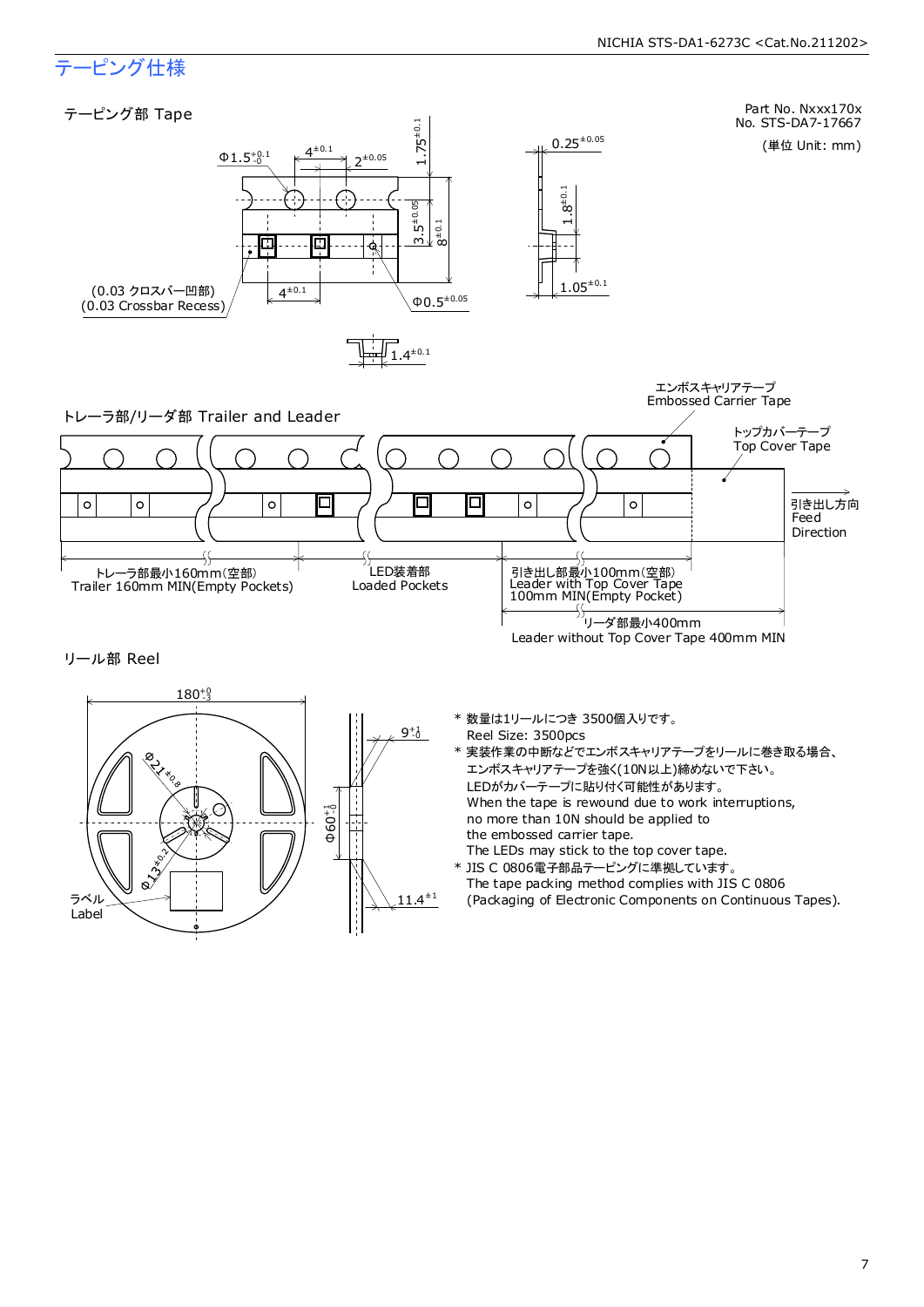# テーピング仕様

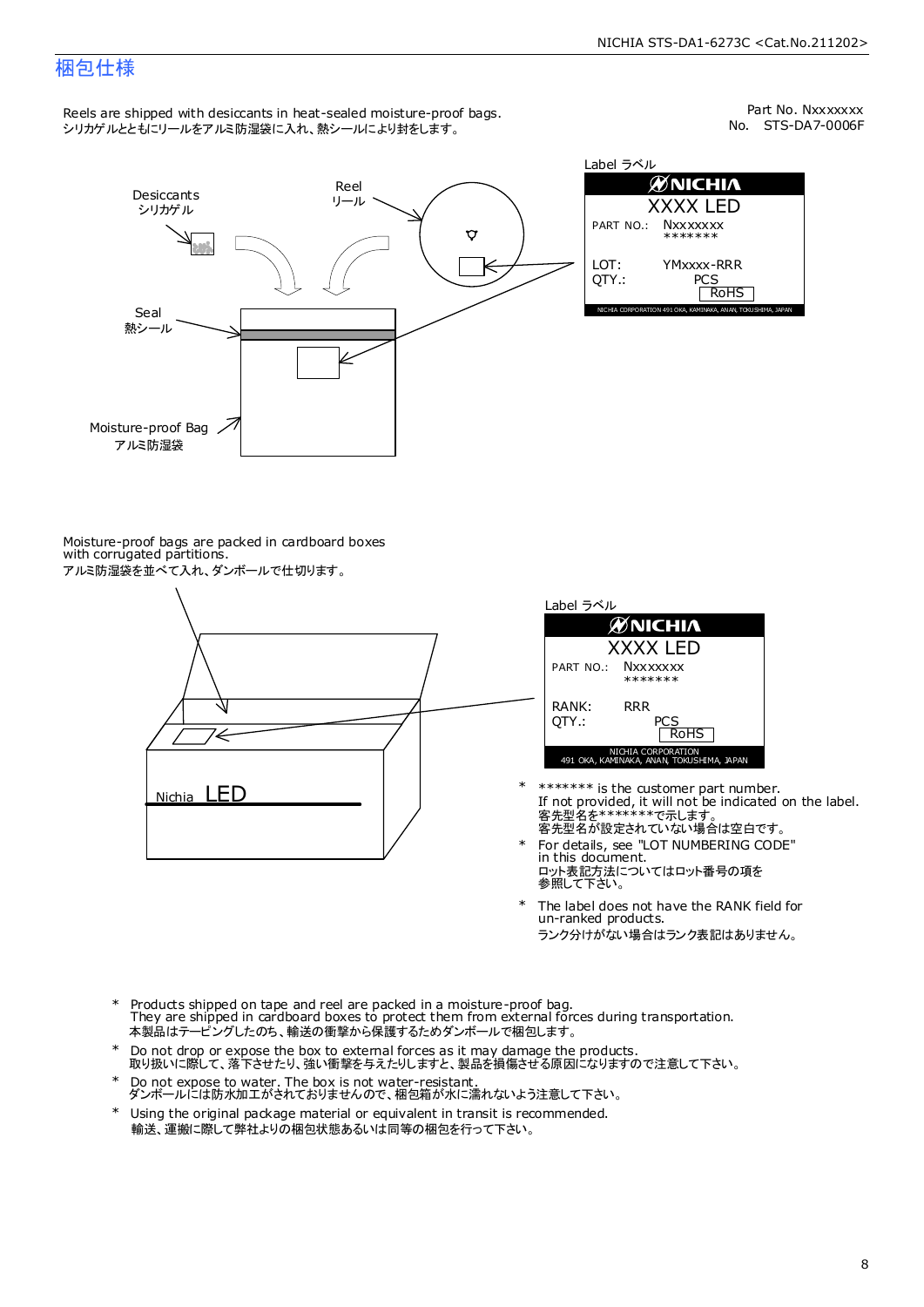# 梱包仕様

Reels are shipped with desiccants in heat-sealed moisture-proof bags. シリカゲルとともにリールをアルミ防湿袋に入れ、熱シールにより封をします。

No. STS-DA7-0006F Part No. Nxxxxxxx



Label ラベル  $\mathscr{D}$ NICHIA XXXX LED PART NO.: **Nxxxxxxx** \*\*\*\*\*\*\* LOT: YMxxxx-RRR QTY.: PCS<br>RoHS INAKA, ANAN, TOKUSHIMA, JA

Moisture-proof bags are packed in cardboard boxes with corrugated partitions. アルミ防湿袋を並べて入れ、ダンボールで仕切ります。





- 客先型名が設定されていない場合は空白です。 客先型名を\*\*\*\*\*\*\*で示します。 If not provided, it will not be indicated on the label. \*\*\*\*\*\*\* is the customer part number.
- For details, see "LOT NUMBERING CODE" in this document. ロット表記方法についてはロット番号の項を<br>参照して下さい。 \*
- The label does not have the RANK field for un-ranked products. ランク分けがない場合はランク表記はありません。 \*
- Products shipped on tape and reel are packed in a moisture-proof bag. They are shipped in cardboard boxes to protect them from external forces during transportation. 本製品はテーピングしたのち、輸送の衝撃から保護するためダンボールで梱包します。 \*
- Do not drop or expose the box to external forces as it may damage the products. 取り扱いに際して、落下させたり、強い衝撃を与えたりしますと、製品を損傷させる原因になりますので注意して下さい。 \*
- Do not expose to water. The box is not water-resistant. ダンボールには防水加工がされておりませんので、梱包箱が水に濡れないよう注意して下さい。 \*
- \* Using the original package material or equivalent in transit is recommended. 輸送、運搬に際して弊社よりの梱包状態あるいは同等の梱包を行って下さい。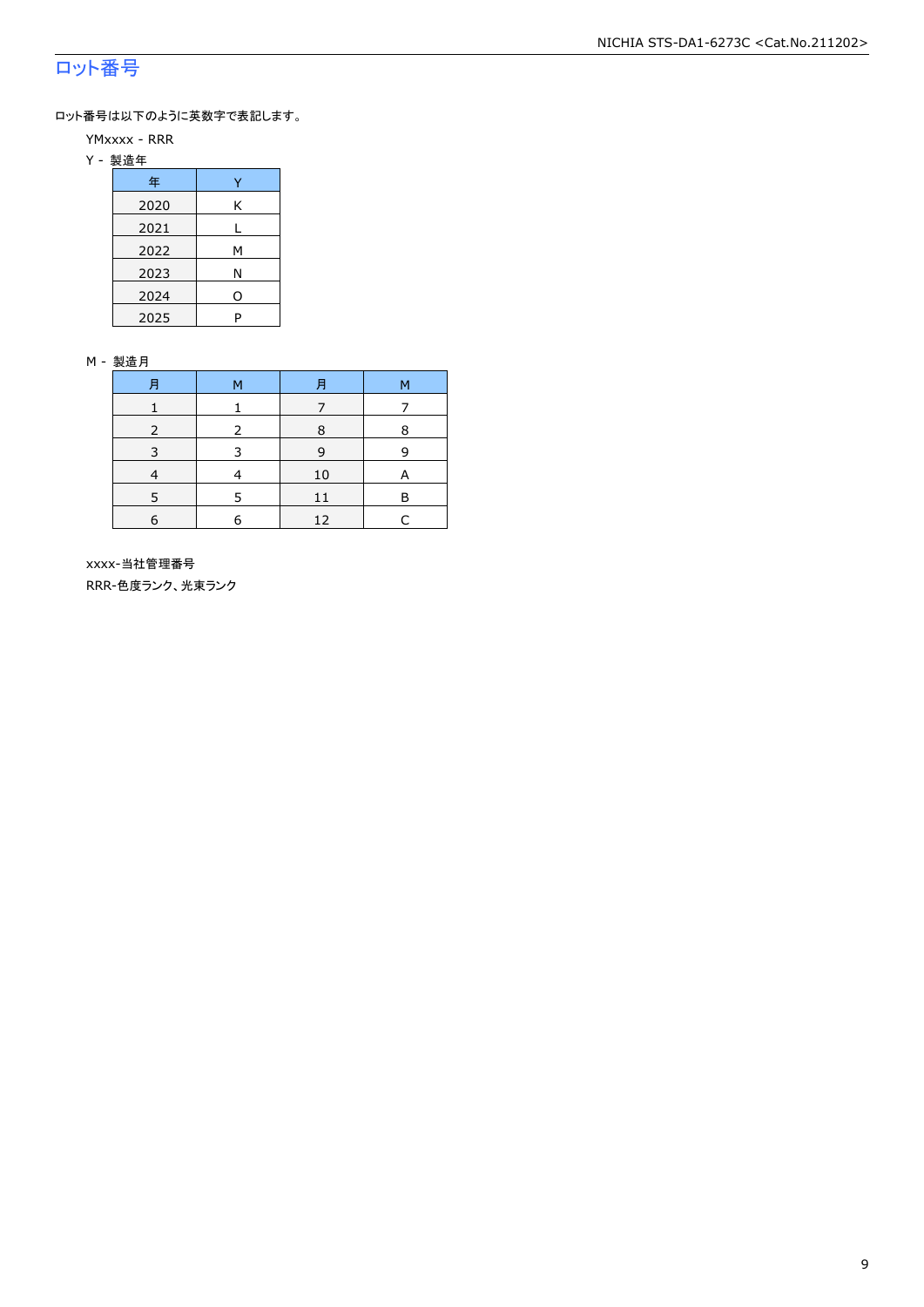# ロット番号

ロット番号は以下のように英数字で表記します。

- YMxxxx RRR
- Y 製造年

| 年    |   |
|------|---|
| 2020 | Κ |
| 2021 |   |
| 2022 | м |
| 2023 | Ν |
| 2024 | 0 |
| 2025 | P |

#### M - 製造月

| 月          | M | Ħ  | M |
|------------|---|----|---|
|            |   |    |   |
|            |   | R  | 8 |
| 3          | З | 9  | q |
|            |   | 10 | А |
|            |   | 11 | R |
| $\epsilon$ | F | 12 |   |

 xxxx-当社管理番号 RRR-色度ランク、光束ランク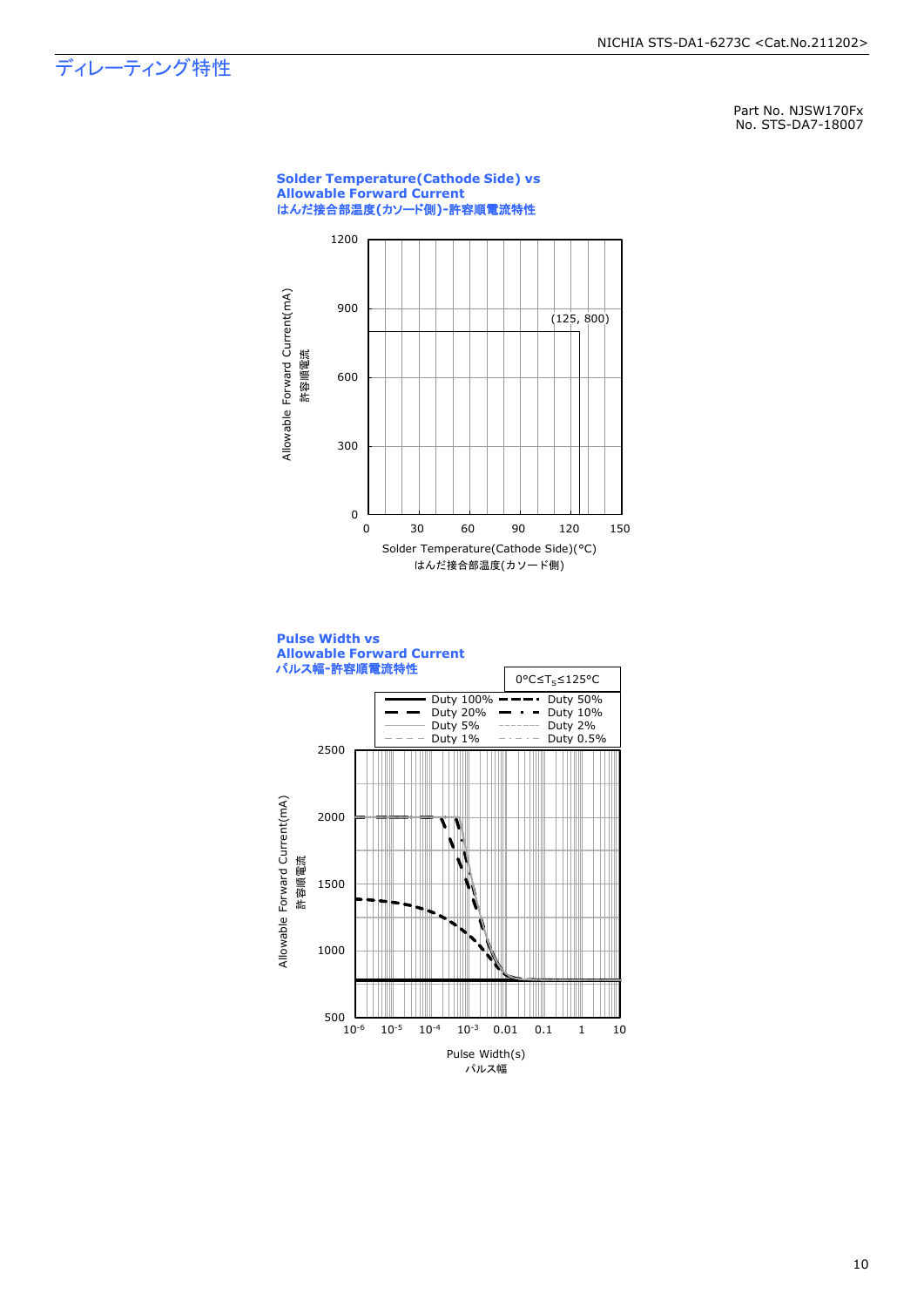# ディレーティング特性

Part No. NJSW170Fx No. STS-DA7-18007

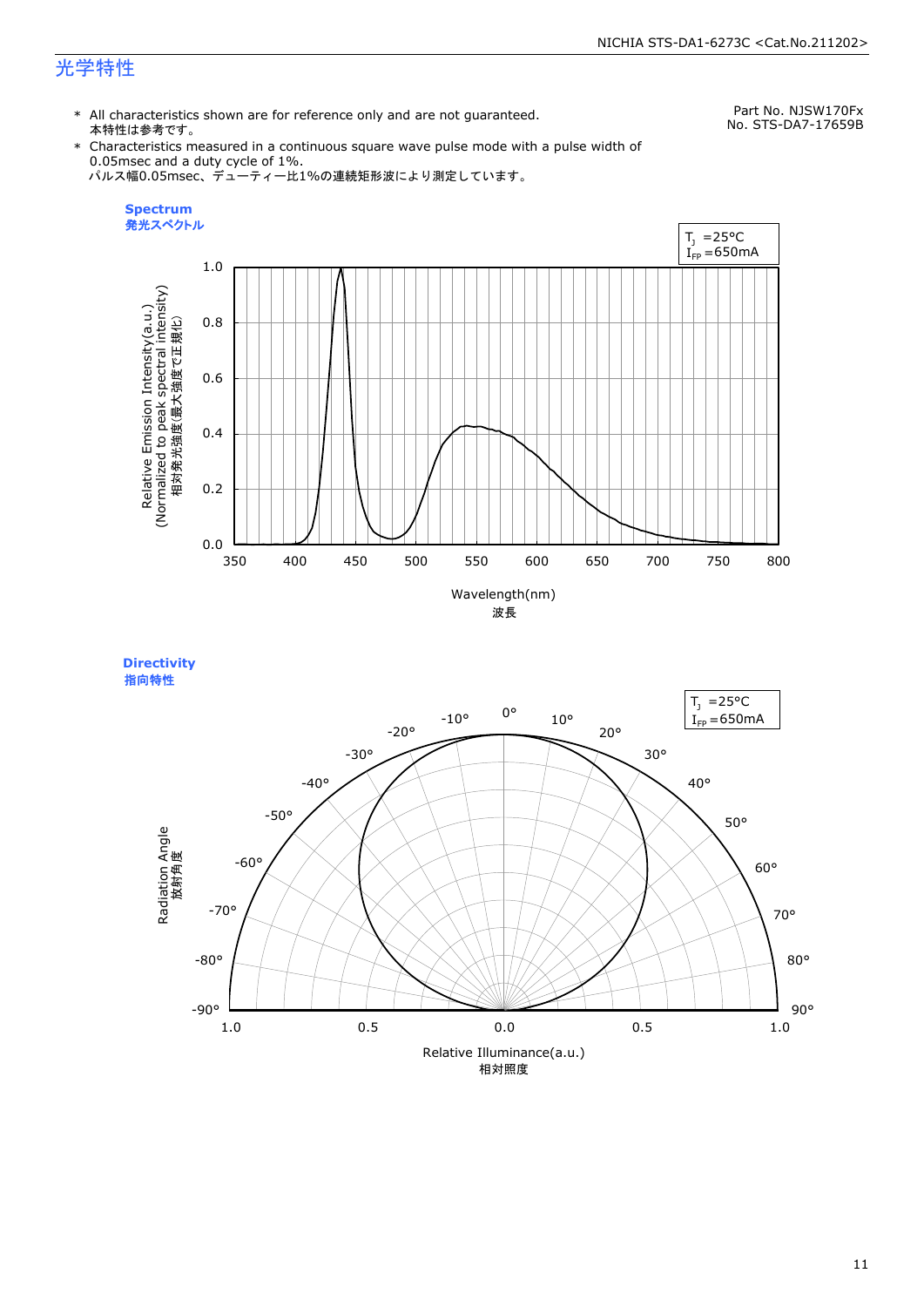# 光学特性

\* All characteristics shown are for reference only and are not guaranteed. 本特性は参考です。

Part No. NJSW170Fx No. STS-DA7-17659B

\* Characteristics measured in a continuous square wave pulse mode with a pulse width of 0.05msec and a duty cycle of 1%. パルス幅0.05msec、デューティー比1%の連続矩形波により測定しています。



**Directivity**  指向特性

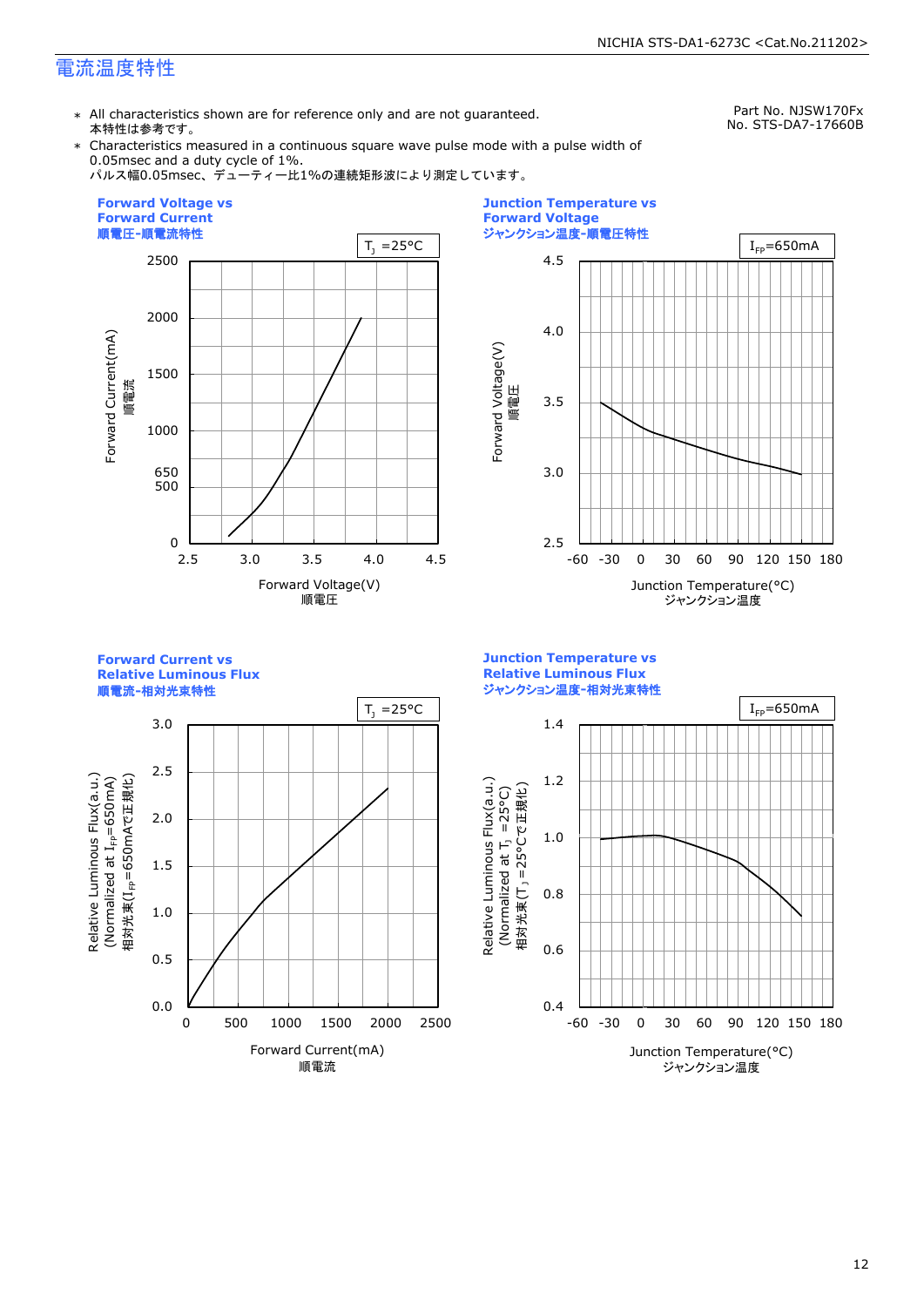# 電流温度特性

\* All characteristics shown are for reference only and are not guaranteed. 本特性は参考です。

Part No. NJSW170Fx No. STS-DA7-17660B

\* Characteristics measured in a continuous square wave pulse mode with a pulse width of 0.05msec and a duty cycle of 1%.

パルス幅0.05msec、デューティー比1%の連続矩形波により測定しています。





**Forward Current vs Relative Luminous Flux**

順電流**-**相対光束特性



**Junction Temperature vs Relative Luminous Flux** ジャンクション温度**-**相対光束特性

Relative Luminous Flux(a.u.)

Relative Luminous Flux(a.u.)

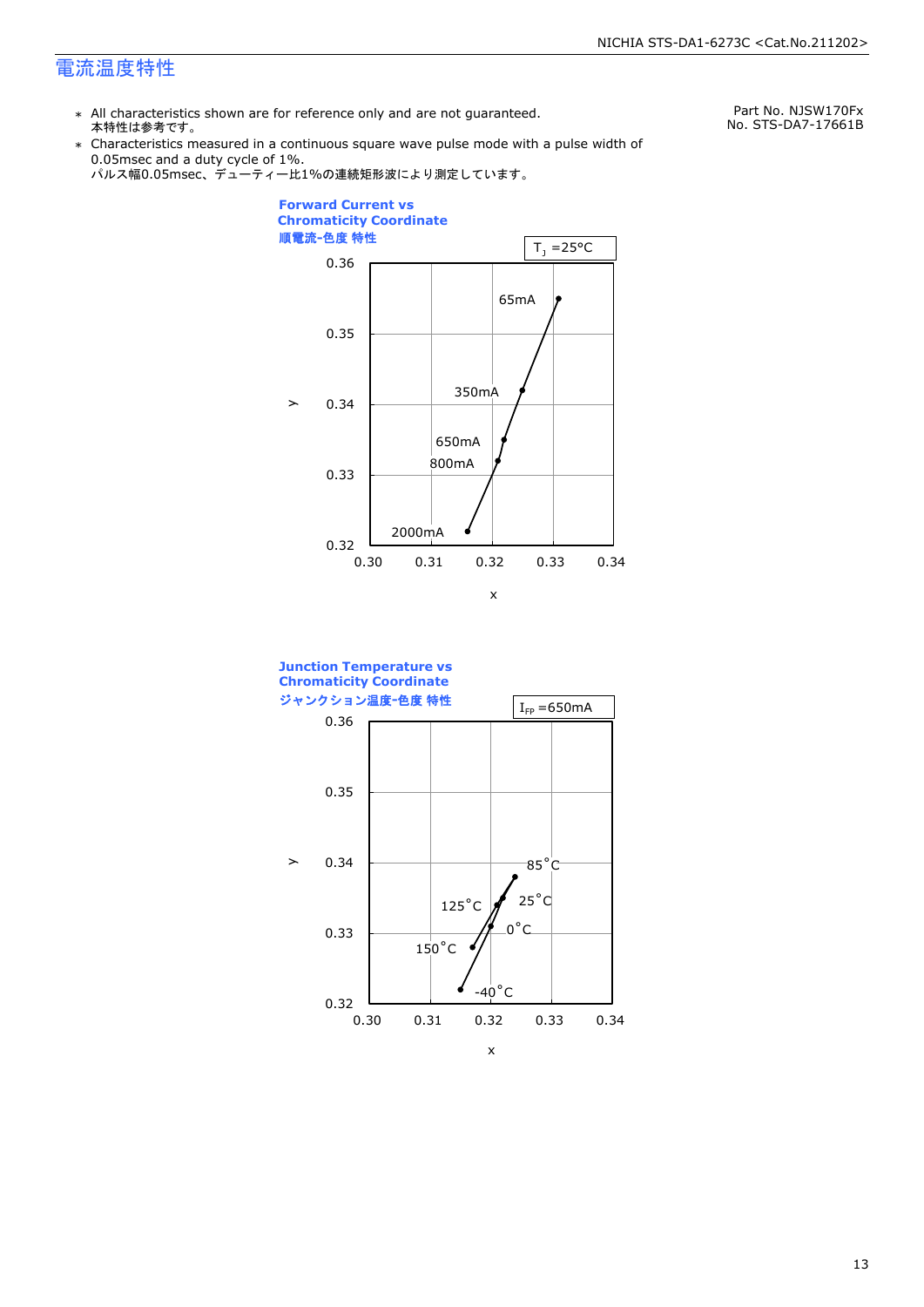# 電流温度特性

\* All characteristics shown are for reference only and are not guaranteed. 本特性は参考です。

Part No. NJSW170Fx No. STS-DA7-17661B

\* Characteristics measured in a continuous square wave pulse mode with a pulse width of 0.05msec and a duty cycle of 1%.





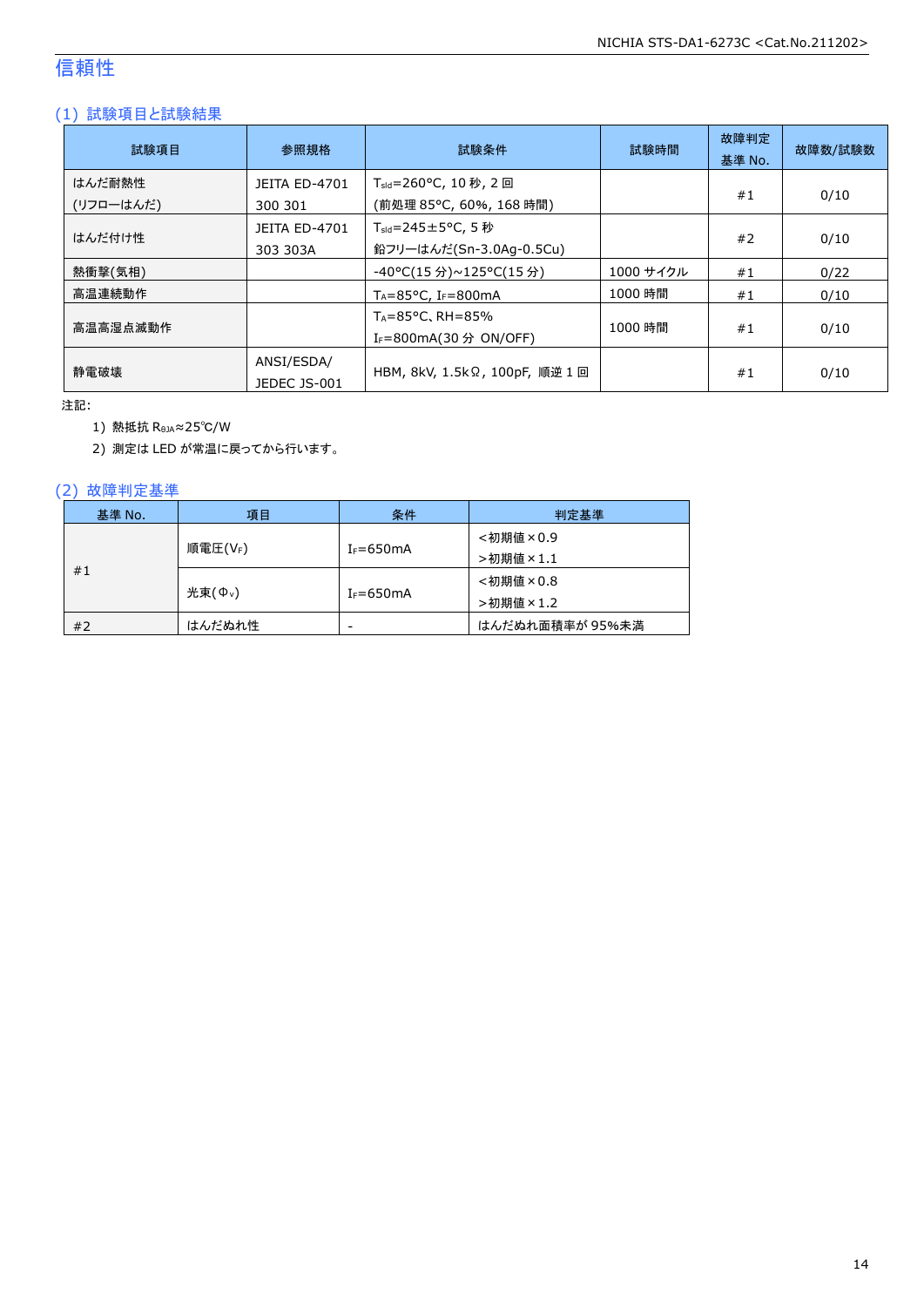# 信頼性

# (1) 試験項目と試験結果

| 試験項目                | 参照規格                             | 試験条件                                                                    | 試験時間      | 故障判定<br>基準 No. | 故障数/試験数 |
|---------------------|----------------------------------|-------------------------------------------------------------------------|-----------|----------------|---------|
| はんだ耐熱性<br>(リフローはんだ) | <b>JEITA ED-4701</b><br>300 301  | T <sub>sld</sub> =260°C, 10 秒, 2 回<br>(前処理 85℃, 60%, 168 時間)            |           | #1             | 0/10    |
| はんだ付け性              | <b>JEITA ED-4701</b><br>303 303A | $T_{\text{std}} = 245 \pm 5^{\circ}$ C, 5 秒<br>鉛フリーはんだ(Sn-3.0Ag-0.5Cu)  |           | #2             | 0/10    |
| 熱衝撃(気相)             |                                  | -40°C(15 分)~125°C(15 分)                                                 | 1000 サイクル | #1             | 0/22    |
| 高温連続動作              |                                  | $T_A = 85^{\circ}$ C, I <sub>F</sub> =800mA                             | 1000 時間   | #1             | 0/10    |
| 高温高湿点滅動作            |                                  | $T_A = 85^{\circ}$ C, RH $= 85\%$<br>I <sub>F</sub> =800mA(30 分 ON/OFF) | 1000 時間   | #1             | 0/10    |
| 静電破壊                | ANSI/ESDA/<br>JEDEC JS-001       | HBM, 8kV, 1.5kΩ, 100pF, 順逆 1 回                                          |           | #1             | 0/10    |

注記:

1) 熱抵抗 RθJA≈25℃/W

2) 測定は LED が常温に戻ってから行います。

### (2) 故障判定基準

| 基準 No. | 項目                 | 条件            | 判定基準            |
|--------|--------------------|---------------|-----------------|
|        |                    |               | <初期値×0.9        |
| #1     | 順電圧(VF)            | $I_F = 650mA$ | >初期値×1.1        |
|        |                    |               | <初期値×0.8        |
|        | 光束( $\Phi_{\nu}$ ) | $I_F = 650mA$ | >初期値×1.2        |
| #2     | はんだぬれ性             | -             | はんだぬれ面積率が 95%未満 |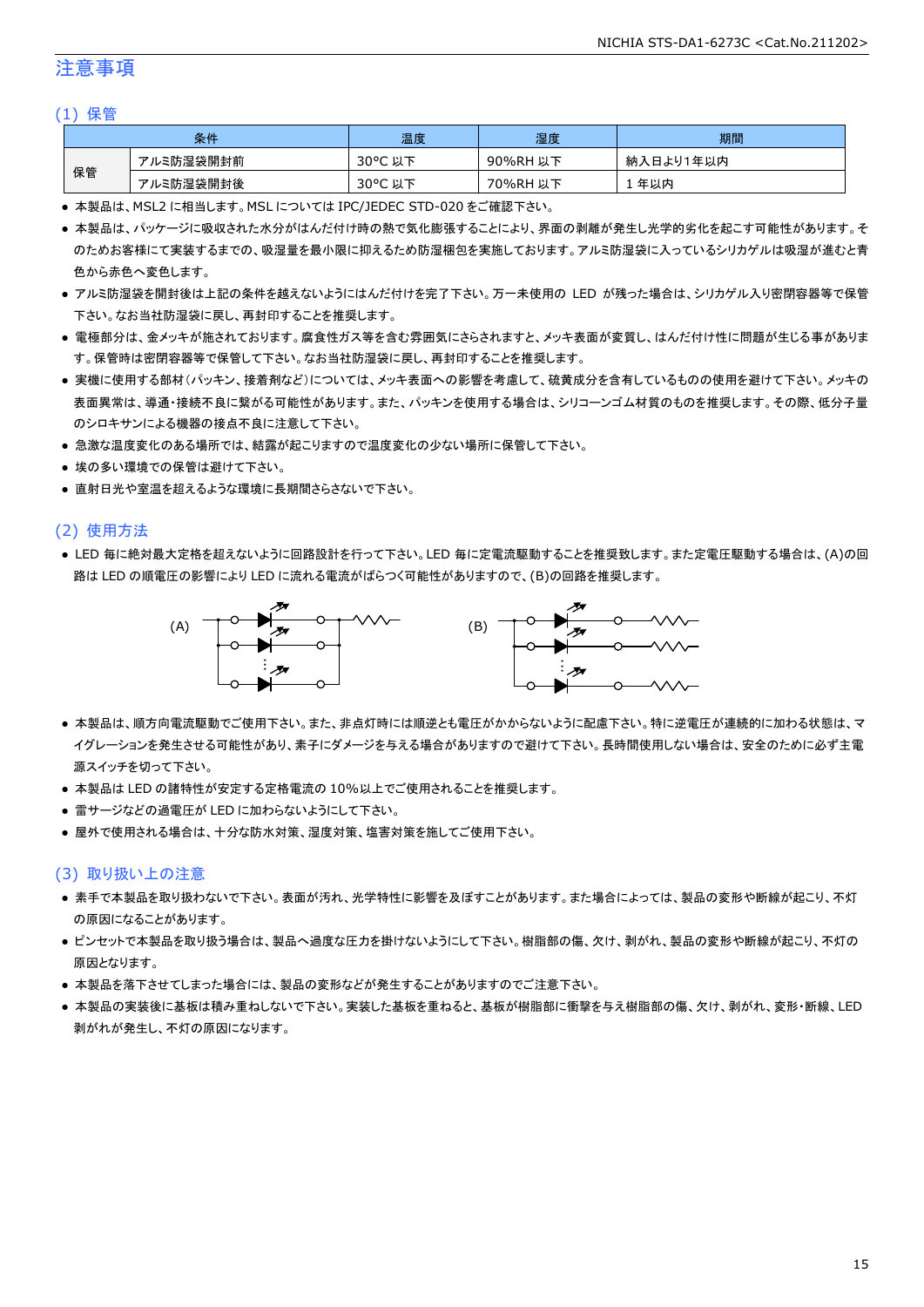# 注意事項

#### (1) 保管

|    | 条件        | 温度                                    | 湿度       | 期間        |
|----|-----------|---------------------------------------|----------|-----------|
|    | アルミ防湿袋開封前 | $30^{\circ}$ C<br><del>ג</del> ו<br>以 | 90%RH 以下 | 納入日より1年以内 |
| 保管 | アルミ防湿袋開封後 | $30^{\circ}$ C<br>以下                  | 70%RH 以下 | 年以内       |

● 本製品は、MSL2 に相当します。MSL については IPC/JEDEC STD-020 をご確認下さい。

- 本製品は、パッケージに吸収された水分がはんだ付け時の熱で気化膨張することにより、界面の剥離が発生し光学的劣化を起こす可能性があります。そ のためお客様にて実装するまでの、吸湿量を最小限に抑えるため防湿梱包を実施しております。アルミ防湿袋に入っているシリカゲルは吸湿が進むと青 色から赤色へ変色します。
- アルミ防湿袋を開封後は上記の条件を越えないようにはんだ付けを完了下さい。万一未使用の LED が残った場合は、シリカゲル入り密閉容器等で保管 下さい。なお当社防湿袋に戻し、再封印することを推奨します。
- 電極部分は、金メッキが施されております。腐食性ガス等を含む雰囲気にさらされますと、メッキ表面が変質し、はんだ付け性に問題が生じる事がありま す。保管時は密閉容器等で保管して下さい。なお当社防湿袋に戻し、再封印することを推奨します。
- 実機に使用する部材(パッキン、接着剤など)については、メッキ表面への影響を考慮して、硫黄成分を含有しているものの使用を避けて下さい。メッキの 表面異常は、導通・接続不良に繋がる可能性があります。また、パッキンを使用する場合は、シリコーンゴム材質のものを推奨します。その際、低分子量 のシロキサンによる機器の接点不良に注意して下さい。
- 急激な温度変化のある場所では、結露が起こりますので温度変化の少ない場所に保管して下さい。
- 埃の多い環境での保管は避けて下さい。
- 直射日光や室温を超えるような環境に長期間さらさないで下さい。

#### (2) 使用方法

● LED 毎に絶対最大定格を超えないように回路設計を行って下さい。LED 毎に定電流駆動することを推奨致します。また定電圧駆動する場合は、(A)の回 路は LED の順電圧の影響により LED に流れる電流がばらつく可能性がありますので、(B)の回路を推奨します。



- 本製品は、順方向電流駆動でご使用下さい。また、非点灯時には順逆とも電圧がかからないように配慮下さい。特に逆電圧が連続的に加わる状態は、マ イグレーションを発生させる可能性があり、素子にダメージを与える場合がありますので避けて下さい。長時間使用しない場合は、安全のために必ず主電 源スイッチを切って下さい。
- 本製品は LED の諸特性が安定する定格電流の 10%以上でご使用されることを推奨します。
- 雷サージなどの過電圧が LED に加わらないようにして下さい。
- 屋外で使用される場合は、十分な防水対策、湿度対策、塩害対策を施してご使用下さい。

#### (3) 取り扱い上の注意

- 素手で本製品を取り扱わないで下さい。表面が汚れ、光学特性に影響を及ぼすことがあります。また場合によっては、製品の変形や断線が起こり、不灯 の原因になることがあります。
- ピンセットで本製品を取り扱う場合は、製品へ過度な圧力を掛けないようにして下さい。樹脂部の傷、欠け、剥がれ、製品の変形や断線が起こり、不灯の 原因となります。
- 本製品を落下させてしまった場合には、製品の変形などが発生することがありますのでご注意下さい。
- 本製品の実装後に基板は積み重ねしないで下さい。実装した基板を重ねると、基板が樹脂部に衝撃を与え樹脂部の傷、欠け、剥がれ、変形・断線、LED 剥がれが発生し、不灯の原因になります。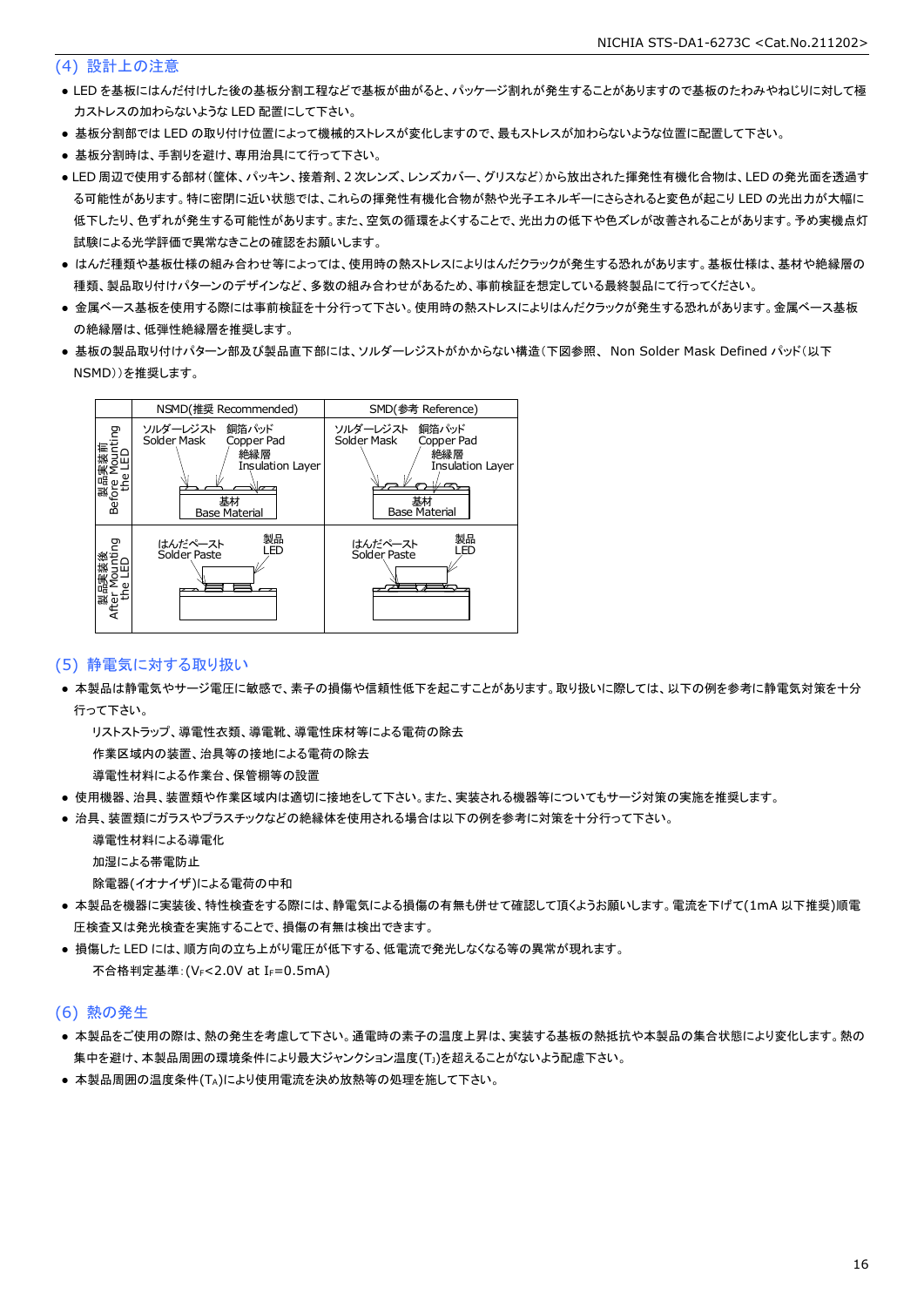#### (4) 設計上の注意

- LED を基板にはんだ付けした後の基板分割工程などで基板が曲がると、パッケージ割れが発生することがありますので基板のたわみやねじりに対して極 力ストレスの加わらないような LED 配置にして下さい。
- 基板分割部では LED の取り付け位置によって機械的ストレスが変化しますので、最もストレスが加わらないような位置に配置して下さい。
- 基板分割時は、手割りを避け、専用治具にて行って下さい。
- LED 周辺で使用する部材(筐体、パッキン、接着剤、2 次レンズ、レンズカバー、グリスなど)から放出された揮発性有機化合物は、LED の発光面を透過す る可能性があります。特に密閉に近い状態では、これらの揮発性有機化合物が熱や光子エネルギーにさらされると変色が起こり LED の光出力が大幅に 低下したり、色ずれが発生する可能性があります。また、空気の循環をよくすることで、光出力の低下や色ズレが改善されることがあります。予め実機点灯 試験による光学評価で異常なきことの確認をお願いします。
- はんだ種類や基板仕様の組み合わせ等によっては、使用時の熱ストレスによりはんだクラックが発生する恐れがあります。基板仕様は、基材や絶縁層の 種類、製品取り付けパターンのデザインなど、多数の組み合わせがあるため、事前検証を想定している最終製品にて行ってください。
- 金属ベース基板を使用する際には事前検証を十分行って下さい。使用時の熱ストレスによりはんだクラックが発生する恐れがあります。金属ベース基板 の絶縁層は、低弾性絶縁層を推奨します。
- 基板の製品取り付けパターン部及び製品直下部には、ソルダーレジストがかからない構造(下図参照、 Non Solder Mask Defined パッド(以下 NSMD))を推奨します。



#### (5) 静電気に対する取り扱い

● 本製品は静電気やサージ電圧に敏感で、素子の損傷や信頼性低下を起こすことがあります。取り扱いに際しては、以下の例を参考に静電気対策を十分 行って下さい。

 リストストラップ、導電性衣類、導電靴、導電性床材等による電荷の除去 作業区域内の装置、治具等の接地による電荷の除去

導電性材料による作業台、保管棚等の設置

- 使用機器、治具、装置類や作業区域内は適切に接地をして下さい。また、実装される機器等についてもサージ対策の実施を推奨します。
- 治具、装置類にガラスやプラスチックなどの絶縁体を使用される場合は以下の例を参考に対策を十分行って下さい。

 導電性材料による導電化 加湿による帯電防止

除電器(イオナイザ)による電荷の中和

- 本製品を機器に実装後、特性検査をする際には、静電気による損傷の有無も併せて確認して頂くようお願いします。電流を下げて(1mA 以下推奨)順電 圧検査又は発光検査を実施することで、損傷の有無は検出できます。
- 損傷した LED には、順方向の立ち上がり電圧が低下する、低電流で発光しなくなる等の異常が現れます。 不合格判定基準: (VF<2.0V at IF=0.5mA)

#### (6) 熱の発生

- 本製品をご使用の際は、熱の発生を考慮して下さい。通電時の素子の温度上昇は、実装する基板の熱抵抗や本製品の集合状態により変化します。熱の 集中を避け、本製品周囲の環境条件により最大ジャンクション温度(TJ)を超えることがないよう配慮下さい。
- 本製品周囲の温度条件(TA)により使用電流を決め放熱等の処理を施して下さい。